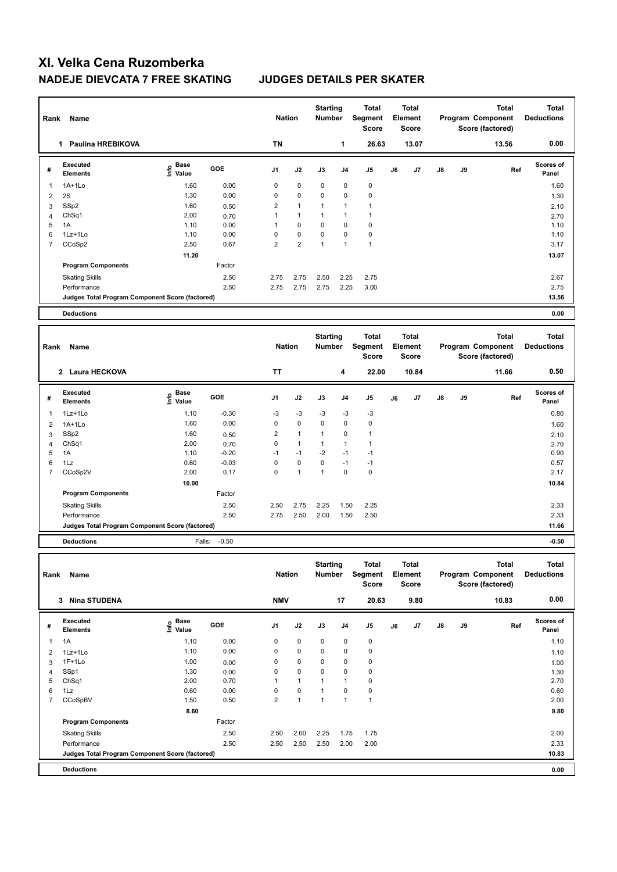| Rank           | Name                                            |                                           |              | <b>Nation</b>  |                | <b>Starting</b><br>Number        |                | <b>Total</b><br>Segment<br><b>Score</b> |    | <b>Total</b><br>Element<br><b>Score</b> |    |    | <b>Total</b><br>Program Component<br>Score (factored) | <b>Total</b><br><b>Deductions</b> |
|----------------|-------------------------------------------------|-------------------------------------------|--------------|----------------|----------------|----------------------------------|----------------|-----------------------------------------|----|-----------------------------------------|----|----|-------------------------------------------------------|-----------------------------------|
|                | 1 Paulina HREBIKOVA                             |                                           |              | <b>TN</b>      |                |                                  | 1              | 26.63                                   |    | 13.07                                   |    |    | 13.56                                                 | 0.00                              |
| #              | <b>Executed</b><br><b>Elements</b>              | $\frac{e}{E}$ Base<br>$\frac{e}{E}$ Value | GOE          | J1             | J2             | J3                               | J <sub>4</sub> | J5                                      | J6 | J7                                      | J8 | J9 | Ref                                                   | Scores of<br>Panel                |
| $\mathbf 1$    | $1A+1Lo$                                        | 1.60                                      | 0.00         | $\mathbf 0$    | $\mathbf 0$    | 0                                | $\mathbf 0$    | $\mathbf 0$                             |    |                                         |    |    |                                                       | 1.60                              |
| $\overline{2}$ | 2S                                              | 1.30                                      | 0.00         | 0              | 0              | 0                                | 0              | $\mathbf 0$                             |    |                                         |    |    |                                                       | 1.30                              |
| 3              | SSp2                                            | 1.60                                      | 0.50         | $\overline{2}$ | 1              | $\mathbf{1}$                     | $\mathbf{1}$   | $\mathbf{1}$                            |    |                                         |    |    |                                                       | 2.10                              |
| $\overline{4}$ | Ch <sub>Sq1</sub>                               | 2.00                                      | 0.70         | $\mathbf{1}$   | $\mathbf{1}$   | $\mathbf{1}$                     | $\mathbf{1}$   | $\overline{1}$                          |    |                                         |    |    |                                                       | 2.70                              |
| 5              | 1A                                              | 1.10                                      | 0.00         | $\mathbf{1}$   | 0              | 0                                | $\mathbf 0$    | $\mathbf 0$                             |    |                                         |    |    |                                                       | 1.10                              |
| 6              | 1Lz+1Lo                                         | 1.10                                      | 0.00         | $\mathbf 0$    | 0              | 0                                | $\mathbf 0$    | $\mathbf 0$                             |    |                                         |    |    |                                                       | 1.10                              |
| $\overline{7}$ | CCoSp2                                          | 2.50                                      | 0.67         | $\overline{2}$ | $\overline{2}$ | $\mathbf{1}$                     | $\mathbf{1}$   | $\overline{1}$                          |    |                                         |    |    |                                                       | 3.17                              |
|                |                                                 | 11.20                                     |              |                |                |                                  |                |                                         |    |                                         |    |    |                                                       | 13.07                             |
|                | <b>Program Components</b>                       |                                           | Factor       |                |                |                                  |                |                                         |    |                                         |    |    |                                                       |                                   |
|                | <b>Skating Skills</b>                           |                                           | 2.50         | 2.75           | 2.75           | 2.50                             | 2.25           | 2.75                                    |    |                                         |    |    |                                                       | 2.67                              |
|                | Performance                                     |                                           | 2.50         | 2.75           | 2.75           | 2.75                             | 2.25           | 3.00                                    |    |                                         |    |    |                                                       | 2.75                              |
|                | Judges Total Program Component Score (factored) |                                           |              |                |                |                                  |                |                                         |    |                                         |    |    |                                                       | 13.56                             |
|                |                                                 |                                           |              |                |                |                                  |                |                                         |    |                                         |    |    |                                                       |                                   |
|                |                                                 |                                           |              |                |                |                                  |                |                                         |    |                                         |    |    |                                                       |                                   |
|                | <b>Deductions</b>                               |                                           |              |                |                |                                  |                |                                         |    |                                         |    |    |                                                       | 0.00                              |
| Rank           | Name                                            |                                           |              | <b>Nation</b>  |                | <b>Starting</b><br><b>Number</b> |                | <b>Total</b><br>Segment<br><b>Score</b> |    | <b>Total</b><br>Element<br><b>Score</b> |    |    | <b>Total</b><br>Program Component<br>Score (factored) | <b>Total</b><br><b>Deductions</b> |
|                | 2 Laura HECKOVA                                 |                                           |              | <b>TT</b>      |                |                                  | 4              | 22.00                                   |    | 10.84                                   |    |    | 11.66                                                 | 0.50                              |
| #              | <b>Executed</b><br><b>Elements</b>              | e Base<br>E Value                         | <b>GOE</b>   | J <sub>1</sub> | J2             | J3                               | J <sub>4</sub> | J <sub>5</sub>                          | J6 | J7                                      | J8 | J9 | Ref                                                   | Scores of<br>Panel                |
| $\mathbf{1}$   | 1Lz+1Lo                                         | 1.10                                      | $-0.30$      | -3             | $-3$           | $-3$                             | $-3$           | -3                                      |    |                                         |    |    |                                                       | 0.80                              |
| $\overline{2}$ | $1A+1Lo$                                        | 1.60                                      | 0.00         | $\mathbf 0$    | $\mathbf{0}$   | $\mathbf 0$                      | $\mathbf 0$    | $\mathbf 0$                             |    |                                         |    |    |                                                       | 1.60                              |
| 3              | SSp2                                            | 1.60                                      | 0.50         | $\overline{2}$ | $\mathbf{1}$   | $\mathbf{1}$                     | $\Omega$       | $\mathbf{1}$                            |    |                                         |    |    |                                                       |                                   |
| $\overline{4}$ | Ch <sub>Sq1</sub>                               | 2.00                                      | 0.70         | $\mathbf 0$    | $\mathbf{1}$   | $\mathbf{1}$                     | $\mathbf{1}$   | $\mathbf{1}$                            |    |                                         |    |    |                                                       | 2.10<br>2.70                      |
| 5              | 1A                                              | 1.10                                      | $-0.20$      | $-1$           | $-1$           | $-2$                             | $-1$           | $-1$                                    |    |                                         |    |    |                                                       | 0.90                              |
| 6              | 1Lz                                             | 0.60                                      | $-0.03$      | $\Omega$       | $\mathbf 0$    | 0                                | $-1$           | $-1$                                    |    |                                         |    |    |                                                       | 0.57                              |
| $\overline{7}$ | CCoSp2V                                         | 2.00                                      | 0.17         | $\mathbf 0$    | $\mathbf{1}$   | $\mathbf{1}$                     | $\mathbf 0$    | $\mathbf 0$                             |    |                                         |    |    |                                                       | 2.17                              |
|                |                                                 | 10.00                                     |              |                |                |                                  |                |                                         |    |                                         |    |    |                                                       | 10.84                             |
|                | <b>Program Components</b>                       |                                           | Factor       |                |                |                                  |                |                                         |    |                                         |    |    |                                                       |                                   |
|                |                                                 |                                           |              |                |                |                                  |                |                                         |    |                                         |    |    |                                                       |                                   |
|                | <b>Skating Skills</b><br>Performance            |                                           | 2.50<br>2.50 | 2.50<br>2.75   | 2.75<br>2.50   | 2.25<br>2.00                     | 1.50<br>1.50   | 2.25<br>2.50                            |    |                                         |    |    |                                                       | 2.33<br>2.33                      |

**Deductions** Falls: -0.50 **-0.50**

| Rank           | Name                                            |                                  |            | <b>Nation</b>  |                | <b>Starting</b><br><b>Number</b> |                | Total<br>Segment<br><b>Score</b> |    | <b>Total</b><br>Element<br><b>Score</b> |               |    | <b>Total</b><br>Program Component<br>Score (factored) | <b>Total</b><br><b>Deductions</b> |
|----------------|-------------------------------------------------|----------------------------------|------------|----------------|----------------|----------------------------------|----------------|----------------------------------|----|-----------------------------------------|---------------|----|-------------------------------------------------------|-----------------------------------|
|                | <b>Nina STUDENA</b><br>3                        |                                  |            | <b>NMV</b>     |                |                                  | 17             | 20.63                            |    | 9.80                                    |               |    | 10.83                                                 | 0.00                              |
| #              | Executed<br><b>Elements</b>                     | <b>Base</b><br>e Base<br>⊆ Value | <b>GOE</b> | J <sub>1</sub> | J2             | J3                               | J <sub>4</sub> | J <sub>5</sub>                   | J6 | J7                                      | $\mathsf{J}8$ | J9 | Ref                                                   | <b>Scores of</b><br>Panel         |
| -1             | 1A                                              | 1.10                             | 0.00       | 0              | $\mathbf 0$    | $\mathbf 0$                      | $\mathbf 0$    | 0                                |    |                                         |               |    |                                                       | 1.10                              |
| $\overline{2}$ | 1Lz+1Lo                                         | 1.10                             | 0.00       | 0              | $\mathbf 0$    | 0                                | $\mathbf 0$    | 0                                |    |                                         |               |    |                                                       | 1.10                              |
| 3              | $1F+1Lo$                                        | 1.00                             | 0.00       | 0              | $\mathbf 0$    | 0                                | $\mathbf 0$    | 0                                |    |                                         |               |    |                                                       | 1.00                              |
| $\overline{4}$ | SSp1                                            | 1.30                             | 0.00       | 0              | $\mathbf 0$    | 0                                | $\mathbf 0$    | 0                                |    |                                         |               |    |                                                       | 1.30                              |
| 5              | ChSq1                                           | 2.00                             | 0.70       | 1              | $\overline{1}$ | и                                | $\overline{1}$ | 0                                |    |                                         |               |    |                                                       | 2.70                              |
| 6              | 1Lz                                             | 0.60                             | 0.00       | $\Omega$       | $\mathbf 0$    | $\overline{1}$                   | $\Omega$       | $\pmb{0}$                        |    |                                         |               |    |                                                       | 0.60                              |
| $\overline{7}$ | CCoSpBV                                         | 1.50                             | 0.50       | $\overline{2}$ | 1              | 1                                | 1              | 1                                |    |                                         |               |    |                                                       | 2.00                              |
|                |                                                 | 8.60                             |            |                |                |                                  |                |                                  |    |                                         |               |    |                                                       | 9.80                              |
|                | <b>Program Components</b>                       |                                  | Factor     |                |                |                                  |                |                                  |    |                                         |               |    |                                                       |                                   |
|                | <b>Skating Skills</b>                           |                                  | 2.50       | 2.50           | 2.00           | 2.25                             | 1.75           | 1.75                             |    |                                         |               |    |                                                       | 2.00                              |
|                | Performance                                     |                                  | 2.50       | 2.50           | 2.50           | 2.50                             | 2.00           | 2.00                             |    |                                         |               |    |                                                       | 2.33                              |
|                | Judges Total Program Component Score (factored) |                                  |            |                |                |                                  |                |                                  |    |                                         |               |    |                                                       | 10.83                             |
|                | <b>Deductions</b>                               |                                  |            |                |                |                                  |                |                                  |    |                                         |               |    |                                                       | 0.00                              |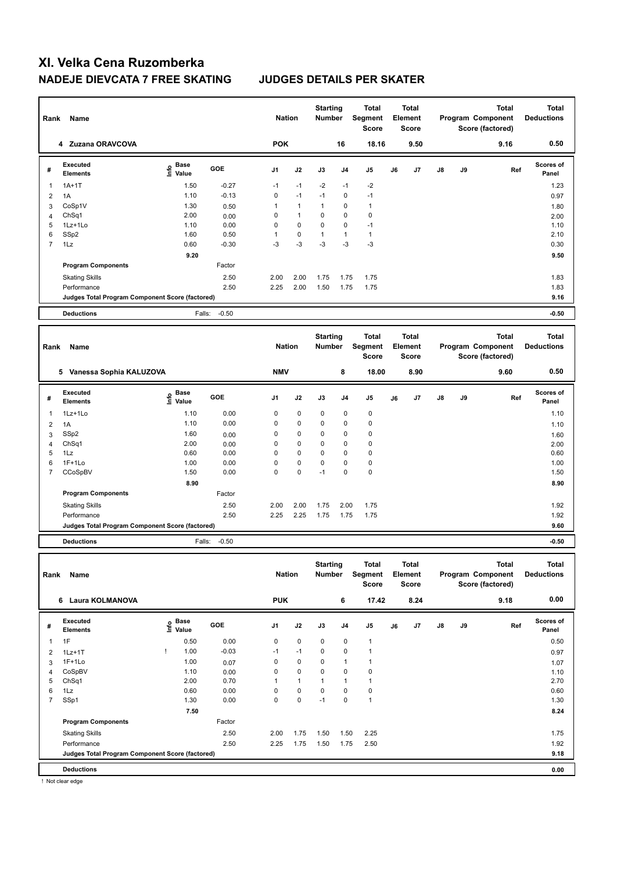| Rank           | Name                                            |                                                    |                   | <b>Nation</b>  |              | <b>Starting</b><br>Number        |                | Total<br><b>Segment</b><br><b>Score</b> |    | <b>Total</b><br>Element<br><b>Score</b> |    |    | <b>Total</b><br>Program Component<br>Score (factored) | <b>Total</b><br><b>Deductions</b> |
|----------------|-------------------------------------------------|----------------------------------------------------|-------------------|----------------|--------------|----------------------------------|----------------|-----------------------------------------|----|-----------------------------------------|----|----|-------------------------------------------------------|-----------------------------------|
|                | 4 Zuzana ORAVCOVA                               |                                                    |                   | <b>POK</b>     |              |                                  | 16             | 18.16                                   |    | 9.50                                    |    |    | 9.16                                                  | 0.50                              |
| #              | <b>Executed</b><br><b>Elements</b>              | $\frac{e}{E}$ Base<br>$\frac{E}{E}$ Value<br>Value | GOE               | J <sub>1</sub> | J2           | J3                               | J <sub>4</sub> | J <sub>5</sub>                          | J6 | J <sub>7</sub>                          | J8 | J9 | Ref                                                   | Scores of<br>Panel                |
| $\mathbf{1}$   | $1A+1T$                                         | 1.50                                               | $-0.27$           | $-1$           | $-1$         | $-2$                             | $-1$           | $-2$                                    |    |                                         |    |    |                                                       | 1.23                              |
| 2              | 1A                                              | 1.10                                               | $-0.13$           | $\mathbf 0$    | $-1$         | $-1$                             | $\mathbf 0$    | $-1$                                    |    |                                         |    |    |                                                       | 0.97                              |
| 3              | CoSp1V                                          | 1.30                                               | 0.50              | $\mathbf{1}$   | $\mathbf{1}$ | $\mathbf{1}$                     | 0              | $\mathbf{1}$                            |    |                                         |    |    |                                                       | 1.80                              |
| $\overline{4}$ | Ch <sub>Sq1</sub>                               | 2.00                                               | 0.00              | $\mathbf 0$    | $\mathbf{1}$ | 0                                | $\mathbf 0$    | $\mathbf 0$                             |    |                                         |    |    |                                                       | 2.00                              |
| 5              | 1Lz+1Lo                                         | 1.10                                               | 0.00              | $\mathbf 0$    | 0            | 0                                | $\mathbf 0$    | $-1$                                    |    |                                         |    |    |                                                       | 1.10                              |
| 6              | SSp2                                            | 1.60                                               | 0.50              | $\mathbf{1}$   | 0            | $\mathbf{1}$                     | $\mathbf{1}$   | $\mathbf{1}$                            |    |                                         |    |    |                                                       | 2.10                              |
| $\overline{7}$ | 1Lz                                             | 0.60                                               | $-0.30$           | $-3$           | $-3$         | $-3$                             | $-3$           | $-3$                                    |    |                                         |    |    |                                                       | 0.30                              |
|                |                                                 | 9.20                                               |                   |                |              |                                  |                |                                         |    |                                         |    |    |                                                       | 9.50                              |
|                | <b>Program Components</b>                       |                                                    | Factor            |                |              |                                  |                |                                         |    |                                         |    |    |                                                       |                                   |
|                | <b>Skating Skills</b>                           |                                                    | 2.50              | 2.00           | 2.00         | 1.75                             | 1.75           | 1.75                                    |    |                                         |    |    |                                                       | 1.83                              |
|                | Performance                                     |                                                    | 2.50              | 2.25           | 2.00         | 1.50                             | 1.75           | 1.75                                    |    |                                         |    |    |                                                       | 1.83                              |
|                | Judges Total Program Component Score (factored) |                                                    |                   |                |              |                                  |                |                                         |    |                                         |    |    |                                                       | 9.16                              |
|                |                                                 |                                                    |                   |                |              |                                  |                |                                         |    |                                         |    |    |                                                       |                                   |
|                | <b>Deductions</b>                               |                                                    | $-0.50$<br>Falls: |                |              |                                  |                |                                         |    |                                         |    |    |                                                       | $-0.50$                           |
|                |                                                 |                                                    |                   |                |              |                                  |                |                                         |    |                                         |    |    |                                                       |                                   |
| Rank           | Name                                            |                                                    |                   | <b>Nation</b>  |              | <b>Starting</b><br><b>Number</b> |                | <b>Total</b><br>Segment<br><b>Score</b> |    | <b>Total</b><br>Element<br>Score        |    |    | <b>Total</b><br>Program Component<br>Score (factored) | <b>Total</b><br><b>Deductions</b> |
|                | 5 Vanessa Sophia KALUZOVA                       |                                                    |                   | <b>NMV</b>     |              |                                  | 8              | 18.00                                   |    | 8.90                                    |    |    | 9.60                                                  | 0.50                              |
| #              | <b>Executed</b><br><b>Elements</b>              | <b>Base</b><br>١nf٥<br>Value                       | GOE               | J1             | J2           | J3                               | J <sub>4</sub> | J <sub>5</sub>                          | J6 | J7                                      | J8 | J9 | Ref                                                   | Scores of<br>Panel                |
| $\overline{1}$ | 1Lz+1Lo                                         | 1.10                                               | 0.00              | 0              | 0            | 0                                | 0              | $\mathbf 0$                             |    |                                         |    |    |                                                       | 1.10                              |
| $\overline{2}$ | 1A                                              | 1.10                                               | 0.00              | 0              | 0            | 0                                | 0              | $\mathbf 0$                             |    |                                         |    |    |                                                       | 1.10                              |
| 3              | SSp2                                            | 1.60                                               | 0.00              | $\mathbf 0$    | 0            | $\mathbf 0$                      | 0              | $\mathbf 0$                             |    |                                         |    |    |                                                       | 1.60                              |
| $\overline{4}$ | ChSq1                                           | 2.00                                               | 0.00              | 0              | 0            | 0                                | $\mathbf 0$    | $\mathbf 0$                             |    |                                         |    |    |                                                       | 2.00                              |
| 5              | $1\mathsf{L}z$                                  | 0.60                                               | 0.00              | $\Omega$       | 0            | 0                                | $\mathbf 0$    | $\mathbf 0$                             |    |                                         |    |    |                                                       | 0.60                              |
| 6              | $1F+1Lo$                                        | 1.00                                               | 0.00              | $\mathbf 0$    | $\mathbf 0$  | 0                                | $\mathbf 0$    | $\pmb{0}$                               |    |                                         |    |    |                                                       | 1.00                              |
| $\overline{7}$ | CCoSpBV                                         | 1.50                                               | 0.00              | $\mathbf 0$    | 0            | $-1$                             | 0              | $\mathbf 0$                             |    |                                         |    |    |                                                       | 1.50                              |
|                |                                                 | 8.90                                               |                   |                |              |                                  |                |                                         |    |                                         |    |    |                                                       | 8.90                              |
|                | <b>Program Components</b>                       |                                                    | Factor            |                |              |                                  |                |                                         |    |                                         |    |    |                                                       |                                   |
|                | <b>Skating Skills</b>                           |                                                    | 2.50              | 2.00           | 2.00         | 1.75                             | 2.00           | 1.75                                    |    |                                         |    |    |                                                       | 1.92                              |

**Judges Total Program Component Score (factored) 9.60**

**Deductions** Falls: -0.50 **-0.50**

| Rank           | Name                                            |                                    |            | <b>Nation</b>  |             | <b>Starting</b><br><b>Number</b> |                | <b>Total</b><br>Segment<br>Score |    | Total<br>Element<br><b>Score</b> |               |    | <b>Total</b><br>Program Component<br>Score (factored) | <b>Total</b><br><b>Deductions</b> |
|----------------|-------------------------------------------------|------------------------------------|------------|----------------|-------------|----------------------------------|----------------|----------------------------------|----|----------------------------------|---------------|----|-------------------------------------------------------|-----------------------------------|
|                | <b>Laura KOLMANOVA</b><br>6                     |                                    |            | <b>PUK</b>     |             |                                  | 6              | 17.42                            |    | 8.24                             |               |    | 9.18                                                  | 0.00                              |
| #              | Executed<br><b>Elements</b>                     | <b>Base</b><br>$\frac{6}{5}$ Value | <b>GOE</b> | J <sub>1</sub> | J2          | J3                               | J <sub>4</sub> | J <sub>5</sub>                   | J6 | J7                               | $\mathsf{J}8$ | J9 | Ref                                                   | <b>Scores of</b><br>Panel         |
| 1              | 1F                                              | 0.50                               | 0.00       | 0              | $\mathbf 0$ | $\mathbf 0$                      | $\mathbf 0$    | $\mathbf{1}$                     |    |                                  |               |    |                                                       | 0.50                              |
| 2              | $1Lz+1T$                                        | 1.00                               | $-0.03$    | $-1$           | $-1$        | 0                                | $\mathbf 0$    | 1                                |    |                                  |               |    |                                                       | 0.97                              |
| 3              | $1F+1Lo$                                        | 1.00                               | 0.07       | 0              | $\mathbf 0$ | 0                                | $\overline{1}$ | 1                                |    |                                  |               |    |                                                       | 1.07                              |
| 4              | CoSpBV                                          | 1.10                               | 0.00       | 0              | $\mathbf 0$ | $\Omega$                         | $\mathbf 0$    | $\mathbf 0$                      |    |                                  |               |    |                                                       | 1.10                              |
| 5              | ChSq1                                           | 2.00                               | 0.70       | 1              | 1           | 1                                | 1              | 1                                |    |                                  |               |    |                                                       | 2.70                              |
| 6              | 1Lz                                             | 0.60                               | 0.00       | 0              | 0           | 0                                | 0              | 0                                |    |                                  |               |    |                                                       | 0.60                              |
| $\overline{7}$ | SSp1                                            | 1.30                               | 0.00       | 0              | 0           | $-1$                             | 0              | $\mathbf{1}$                     |    |                                  |               |    |                                                       | 1.30                              |
|                |                                                 | 7.50                               |            |                |             |                                  |                |                                  |    |                                  |               |    |                                                       | 8.24                              |
|                | <b>Program Components</b>                       |                                    | Factor     |                |             |                                  |                |                                  |    |                                  |               |    |                                                       |                                   |
|                | <b>Skating Skills</b>                           |                                    | 2.50       | 2.00           | 1.75        | 1.50                             | 1.50           | 2.25                             |    |                                  |               |    |                                                       | 1.75                              |
|                | Performance                                     |                                    | 2.50       | 2.25           | 1.75        | 1.50                             | 1.75           | 2.50                             |    |                                  |               |    |                                                       | 1.92                              |
|                | Judges Total Program Component Score (factored) |                                    |            |                |             |                                  |                |                                  |    |                                  |               |    |                                                       | 9.18                              |
|                | <b>Deductions</b>                               |                                    |            |                |             |                                  |                |                                  |    |                                  |               |    |                                                       | 0.00                              |

! Not clear edge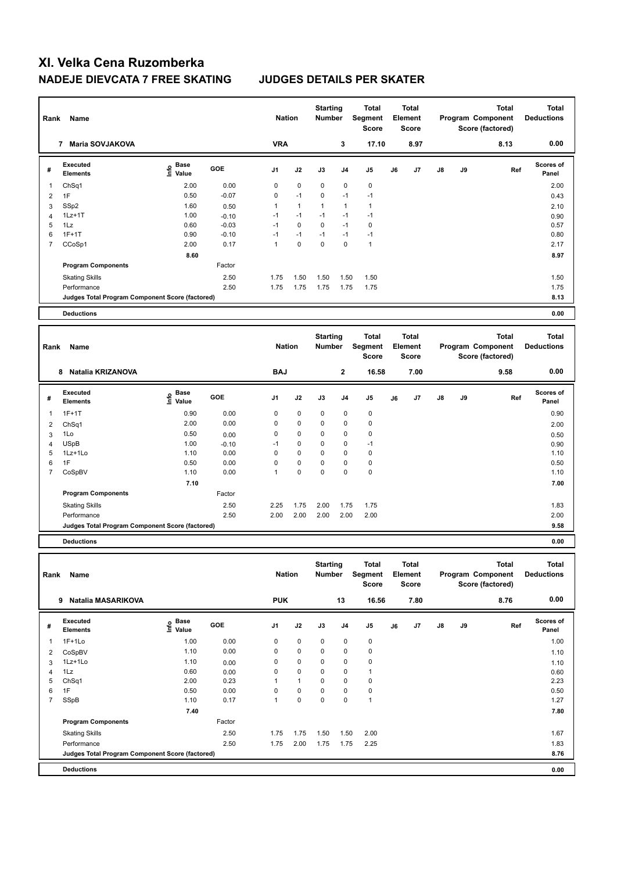| Rank           | Name                                            |                                           |         | <b>Nation</b>  |              | <b>Starting</b><br><b>Number</b> |                | <b>Total</b><br><b>Segment</b><br><b>Score</b> |    | <b>Total</b><br>Element<br><b>Score</b> |            |    | <b>Total</b><br>Program Component<br>Score (factored) | <b>Total</b><br><b>Deductions</b> |
|----------------|-------------------------------------------------|-------------------------------------------|---------|----------------|--------------|----------------------------------|----------------|------------------------------------------------|----|-----------------------------------------|------------|----|-------------------------------------------------------|-----------------------------------|
|                | 7 Maria SOVJAKOVA                               |                                           |         | <b>VRA</b>     |              |                                  | 3              | 17.10                                          |    | 8.97                                    |            |    | 8.13                                                  | 0.00                              |
| #              | <b>Executed</b><br><b>Elements</b>              | $\frac{e}{E}$ Base<br>$\frac{e}{E}$ Value | GOE     | J <sub>1</sub> | J2           | J3                               | J <sub>4</sub> | J <sub>5</sub>                                 | J6 | J7                                      | J8         | J9 | Ref                                                   | <b>Scores of</b><br>Panel         |
| -1             | ChSq1                                           | 2.00                                      | 0.00    | $\mathbf 0$    | $\pmb{0}$    | 0                                | $\mathbf 0$    | $\pmb{0}$                                      |    |                                         |            |    |                                                       | 2.00                              |
| $\overline{2}$ | 1F                                              | 0.50                                      | $-0.07$ | $\mathbf 0$    | $-1$         | 0                                | $-1$           | $-1$                                           |    |                                         |            |    |                                                       | 0.43                              |
| 3              | SSp2                                            | 1.60                                      | 0.50    | $\mathbf{1}$   | $\mathbf{1}$ | $\mathbf{1}$                     | $\mathbf{1}$   | $\mathbf{1}$                                   |    |                                         |            |    |                                                       | 2.10                              |
| $\overline{4}$ | $1Lz+1T$                                        | 1.00                                      | $-0.10$ | $-1$           | $-1$         | $-1$                             | $-1$           | $-1$                                           |    |                                         |            |    |                                                       | 0.90                              |
| 5              | 1Lz                                             | 0.60                                      | $-0.03$ | $-1$           | $\Omega$     | $\Omega$                         | $-1$           | $\mathbf 0$                                    |    |                                         |            |    |                                                       | 0.57                              |
| 6              | $1F+1T$                                         | 0.90                                      | $-0.10$ | $-1$           | $-1$         | $-1$                             | $-1$           | $-1$                                           |    |                                         |            |    |                                                       | 0.80                              |
| $\overline{7}$ | CCoSp1                                          | 2.00                                      | 0.17    | $\mathbf{1}$   | $\mathbf 0$  | $\mathbf 0$                      | $\mathbf 0$    | $\mathbf{1}$                                   |    |                                         |            |    |                                                       | 2.17                              |
|                |                                                 | 8.60                                      |         |                |              |                                  |                |                                                |    |                                         |            |    |                                                       | 8.97                              |
|                | <b>Program Components</b>                       |                                           | Factor  |                |              |                                  |                |                                                |    |                                         |            |    |                                                       |                                   |
|                | <b>Skating Skills</b>                           |                                           | 2.50    | 1.75           | 1.50         | 1.50                             | 1.50           | 1.50                                           |    |                                         |            |    |                                                       | 1.50                              |
|                | Performance                                     |                                           | 2.50    | 1.75           | 1.75         | 1.75                             | 1.75           | 1.75                                           |    |                                         |            |    |                                                       | 1.75                              |
|                | Judges Total Program Component Score (factored) |                                           |         |                |              |                                  |                |                                                |    |                                         |            |    |                                                       | 8.13                              |
|                |                                                 |                                           |         |                |              |                                  |                |                                                |    |                                         |            |    |                                                       |                                   |
|                | <b>Deductions</b>                               |                                           |         |                |              |                                  |                |                                                |    |                                         |            |    |                                                       | 0.00                              |
|                |                                                 |                                           |         |                |              |                                  |                |                                                |    |                                         |            |    |                                                       |                                   |
| Rank           | Name                                            |                                           |         | <b>Nation</b>  |              | <b>Starting</b><br><b>Number</b> |                | <b>Total</b><br>Segment<br><b>Score</b>        |    | <b>Total</b><br>Element<br><b>Score</b> |            |    | <b>Total</b><br>Program Component<br>Score (factored) | <b>Total</b><br><b>Deductions</b> |
|                | 8 Natalia KRIZANOVA                             |                                           |         | <b>BAJ</b>     |              |                                  | $\mathbf 2$    | 16.58                                          |    | 7.00                                    |            |    | 9.58                                                  | 0.00                              |
| #              | Executed<br><b>Elements</b>                     | <b>Base</b><br>e Base<br>⊆ Value          | GOE     | J <sub>1</sub> | J2           | J3                               | J <sub>4</sub> | J <sub>5</sub>                                 | J6 | J7                                      | ${\sf J8}$ | J9 | Ref                                                   | Scores of<br>Panel                |
| $\mathbf 1$    | $1F+1T$                                         | 0.90                                      | 0.00    | 0              | 0            | 0                                | 0              | 0                                              |    |                                         |            |    |                                                       | 0.90                              |
| $\overline{2}$ | ChSq1                                           | 2.00                                      | 0.00    | $\mathbf 0$    | 0            | 0                                | $\mathbf 0$    | $\mathbf 0$                                    |    |                                         |            |    |                                                       | 2.00                              |
| 3              | 1Lo                                             | 0.50                                      | 0.00    | $\mathbf 0$    | 0            | 0                                | $\mathbf 0$    | $\mathbf 0$                                    |    |                                         |            |    |                                                       | 0.50                              |
| $\overline{4}$ | <b>USpB</b>                                     | 1.00                                      | $-0.10$ | $-1$           | 0            | $\Omega$                         | $\mathbf 0$    | $-1$                                           |    |                                         |            |    |                                                       | 0.90                              |
| 5              | 1Lz+1Lo                                         | 1.10                                      | 0.00    | $\mathbf 0$    | 0            | 0                                | $\mathbf 0$    | $\mathbf 0$                                    |    |                                         |            |    |                                                       | 1.10                              |
| 6              | 1F                                              | 0.50                                      | 0.00    | $\mathbf 0$    | $\mathbf 0$  | $\mathbf 0$                      | $\mathbf 0$    | $\pmb{0}$                                      |    |                                         |            |    |                                                       | 0.50                              |
|                | $C_2C_2D1$                                      | 4.40                                      | 0.00    | $\overline{A}$ | $\sim$       | $\sim$                           | $\sim$         | $\sim$                                         |    |                                         |            |    |                                                       | 4.40                              |

|   | Judges Total Program Component Score (factored) |      |        |      |      |      |          |            | 9.58 |
|---|-------------------------------------------------|------|--------|------|------|------|----------|------------|------|
|   | Performance                                     |      | 2.50   | 2.00 | 2.00 | 2.00 | 2.00     | 2.00       | 2.00 |
|   | <b>Skating Skills</b>                           |      | 2.50   | 2.25 | 1.75 | 2.00 | 1.75     | 1.75       | 1.83 |
|   | <b>Program Components</b>                       |      | Factor |      |      |      |          |            |      |
|   |                                                 | 7.10 |        |      |      |      |          |            | 7.00 |
|   | CoSpBV                                          | 1.10 | 0.00   |      | 0    | 0    | $\Omega$ | $^{\circ}$ | 1.10 |
| 6 | 1F                                              | 0.50 | 0.00   |      |      |      |          | 0          | 0.50 |

**Deductions 0.00**

| Rank           | Name                                            |                                    |            | <b>Nation</b>  |                | <b>Starting</b><br><b>Number</b> |                | Total<br>Segment<br><b>Score</b> |    | <b>Total</b><br>Element<br><b>Score</b> |               |    | <b>Total</b><br>Program Component<br>Score (factored) | <b>Total</b><br><b>Deductions</b> |
|----------------|-------------------------------------------------|------------------------------------|------------|----------------|----------------|----------------------------------|----------------|----------------------------------|----|-----------------------------------------|---------------|----|-------------------------------------------------------|-----------------------------------|
|                | Natalia MASARIKOVA<br>9                         |                                    |            | <b>PUK</b>     |                |                                  | 13             | 16.56                            |    | 7.80                                    |               |    | 8.76                                                  | 0.00                              |
| #              | Executed<br><b>Elements</b>                     | <b>Base</b><br>$\frac{6}{5}$ Value | <b>GOE</b> | J <sub>1</sub> | J2             | J3                               | J <sub>4</sub> | J <sub>5</sub>                   | J6 | J7                                      | $\mathsf{J}8$ | J9 | Ref                                                   | <b>Scores of</b><br>Panel         |
|                | $1F+1Lo$                                        | 1.00                               | 0.00       | 0              | $\mathbf 0$    | $\mathbf 0$                      | $\mathbf 0$    | $\pmb{0}$                        |    |                                         |               |    |                                                       | 1.00                              |
| 2              | CoSpBV                                          | 1.10                               | 0.00       | 0              | $\mathbf 0$    | 0                                | 0              | 0                                |    |                                         |               |    |                                                       | 1.10                              |
| 3              | 1Lz+1Lo                                         | 1.10                               | 0.00       | 0              | $\mathbf 0$    | 0                                | $\pmb{0}$      | $\mathbf 0$                      |    |                                         |               |    |                                                       | 1.10                              |
| 4              | 1Lz                                             | 0.60                               | 0.00       | 0              | $\mathbf 0$    | $\mathbf 0$                      | $\mathbf 0$    | 1                                |    |                                         |               |    |                                                       | 0.60                              |
| 5              | ChSq1                                           | 2.00                               | 0.23       |                | $\overline{1}$ | 0                                | 0              | $\mathbf 0$                      |    |                                         |               |    |                                                       | 2.23                              |
| 6              | 1F                                              | 0.50                               | 0.00       | 0              | $\mathbf 0$    | 0                                | 0              | $\pmb{0}$                        |    |                                         |               |    |                                                       | 0.50                              |
| $\overline{7}$ | SSpB                                            | 1.10                               | 0.17       | 1              | $\mathbf 0$    | 0                                | 0              | $\mathbf{1}$                     |    |                                         |               |    |                                                       | 1.27                              |
|                |                                                 | 7.40                               |            |                |                |                                  |                |                                  |    |                                         |               |    |                                                       | 7.80                              |
|                | <b>Program Components</b>                       |                                    | Factor     |                |                |                                  |                |                                  |    |                                         |               |    |                                                       |                                   |
|                | <b>Skating Skills</b>                           |                                    | 2.50       | 1.75           | 1.75           | 1.50                             | 1.50           | 2.00                             |    |                                         |               |    |                                                       | 1.67                              |
|                | Performance                                     |                                    | 2.50       | 1.75           | 2.00           | 1.75                             | 1.75           | 2.25                             |    |                                         |               |    |                                                       | 1.83                              |
|                | Judges Total Program Component Score (factored) |                                    |            |                |                |                                  |                |                                  |    |                                         |               |    |                                                       | 8.76                              |
|                | <b>Deductions</b>                               |                                    |            |                |                |                                  |                |                                  |    |                                         |               |    |                                                       | 0.00                              |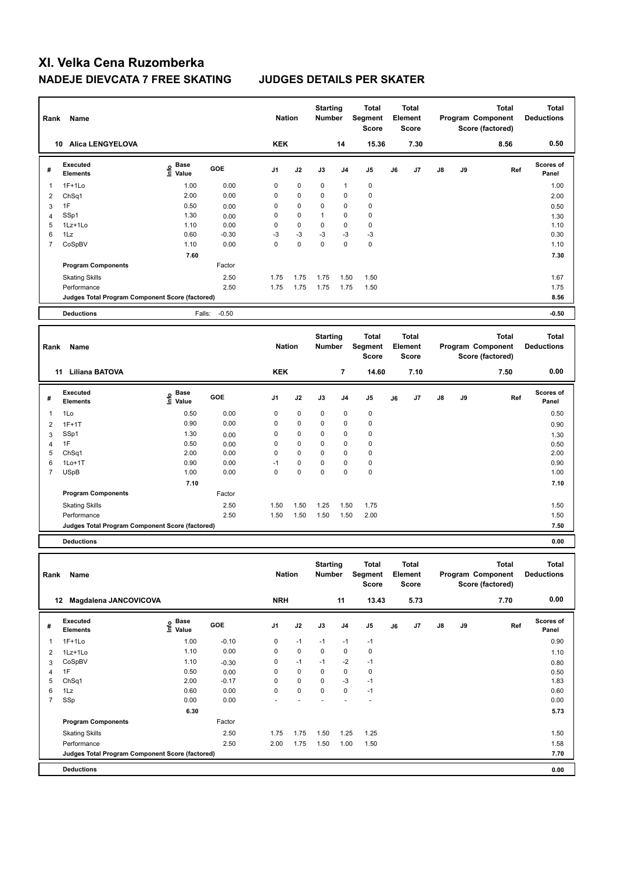| Rank           | Name                                            |                                           |         | <b>Nation</b>  |              | <b>Starting</b><br><b>Number</b> |                | <b>Total</b><br>Segment<br><b>Score</b> |    | <b>Total</b><br>Element<br><b>Score</b> |    |    | <b>Total</b><br>Program Component<br>Score (factored) | <b>Total</b><br><b>Deductions</b> |
|----------------|-------------------------------------------------|-------------------------------------------|---------|----------------|--------------|----------------------------------|----------------|-----------------------------------------|----|-----------------------------------------|----|----|-------------------------------------------------------|-----------------------------------|
|                | 10 Alica LENGYELOVA                             |                                           |         | <b>KEK</b>     |              |                                  | 14             | 15.36                                   |    | 7.30                                    |    |    | 8.56                                                  | 0.50                              |
| #              | <b>Executed</b><br><b>Elements</b>              | $\frac{e}{E}$ Base<br>$\frac{e}{E}$ Value | GOE     | J <sub>1</sub> | J2           | J3                               | J <sub>4</sub> | J <sub>5</sub>                          | J6 | J7                                      | J8 | J9 | Ref                                                   | Scores of<br>Panel                |
| $\mathbf{1}$   | $1F+1Lo$                                        | 1.00                                      | 0.00    | 0              | 0            | 0                                | $\mathbf{1}$   | $\mathbf 0$                             |    |                                         |    |    |                                                       | 1.00                              |
| $\overline{2}$ | ChSq1                                           | 2.00                                      | 0.00    | $\mathbf 0$    | 0            | 0                                | $\mathbf 0$    | $\mathbf 0$                             |    |                                         |    |    |                                                       | 2.00                              |
| 3              | 1F                                              | 0.50                                      | 0.00    | $\mathbf 0$    | 0            | $\Omega$                         | $\mathbf 0$    | $\mathbf 0$                             |    |                                         |    |    |                                                       | 0.50                              |
| $\overline{4}$ | SSp1                                            | 1.30                                      | 0.00    | $\mathbf 0$    | 0            | $\mathbf{1}$                     | $\mathbf 0$    | $\mathbf 0$                             |    |                                         |    |    |                                                       | 1.30                              |
| 5              | 1Lz+1Lo                                         | 1.10                                      | 0.00    | $\mathbf 0$    | 0            | 0                                | 0              | $\mathbf 0$                             |    |                                         |    |    |                                                       | 1.10                              |
| 6              | $1\mathsf{L}z$                                  | 0.60                                      | $-0.30$ | $-3$           | $-3$         | $-3$                             | $-3$           | $-3$                                    |    |                                         |    |    |                                                       | 0.30                              |
| $\overline{7}$ | CoSpBV                                          | 1.10                                      | 0.00    | $\Omega$       | $\mathbf 0$  | $\mathbf 0$                      | $\mathbf 0$    | $\mathbf 0$                             |    |                                         |    |    |                                                       | 1.10                              |
|                |                                                 | 7.60                                      |         |                |              |                                  |                |                                         |    |                                         |    |    |                                                       | 7.30                              |
|                | <b>Program Components</b>                       |                                           | Factor  |                |              |                                  |                |                                         |    |                                         |    |    |                                                       |                                   |
|                | <b>Skating Skills</b>                           |                                           | 2.50    | 1.75           | 1.75         | 1.75                             | 1.50           | 1.50                                    |    |                                         |    |    |                                                       | 1.67                              |
|                | Performance                                     |                                           | 2.50    | 1.75           | 1.75         | 1.75                             | 1.75           | 1.50                                    |    |                                         |    |    |                                                       | 1.75                              |
|                | Judges Total Program Component Score (factored) |                                           |         |                |              |                                  |                |                                         |    |                                         |    |    |                                                       | 8.56                              |
|                | <b>Deductions</b>                               | Falls:                                    |         |                |              |                                  |                |                                         |    |                                         |    |    |                                                       |                                   |
|                |                                                 |                                           |         |                |              |                                  |                |                                         |    |                                         |    |    |                                                       |                                   |
|                |                                                 |                                           | $-0.50$ |                |              |                                  |                |                                         |    |                                         |    |    |                                                       | $-0.50$                           |
| Rank           | Name                                            |                                           |         | <b>Nation</b>  |              | <b>Starting</b><br><b>Number</b> |                | <b>Total</b><br>Segment<br><b>Score</b> |    | <b>Total</b><br>Element<br><b>Score</b> |    |    | <b>Total</b><br>Program Component<br>Score (factored) | <b>Total</b><br><b>Deductions</b> |
|                | 11 Liliana BATOVA                               |                                           |         | <b>KEK</b>     |              |                                  | 7              | 14.60                                   |    | 7.10                                    |    |    | 7.50                                                  | 0.00                              |
| #              | <b>Executed</b><br><b>Elements</b>              | e Base<br>E Value                         | GOE     | J <sub>1</sub> | J2           | J3                               | J <sub>4</sub> | J <sub>5</sub>                          | J6 | J7                                      | J8 | J9 | Ref                                                   | Scores of<br>Panel                |
| $\mathbf{1}$   | 1Lo                                             | 0.50                                      | 0.00    | $\mathbf 0$    | $\mathbf 0$  | 0                                | $\mathbf 0$    | $\mathbf 0$                             |    |                                         |    |    |                                                       | 0.50                              |
| $\overline{2}$ | $1F+1T$                                         | 0.90                                      | 0.00    | 0              | 0            | 0                                | 0              | $\mathbf 0$                             |    |                                         |    |    |                                                       | 0.90                              |
| 3              | SSp1                                            | 1.30                                      | 0.00    | 0              | 0            | 0                                | $\mathbf 0$    | $\mathbf 0$                             |    |                                         |    |    |                                                       |                                   |
| $\overline{4}$ | 1F                                              | 0.50                                      | 0.00    | $\mathbf 0$    | 0            | 0                                | $\mathbf 0$    | $\mathbf 0$                             |    |                                         |    |    |                                                       | 1.30<br>0.50                      |
| 5              | ChSq1                                           | 2.00                                      | 0.00    | $\Omega$       | $\mathbf{0}$ | $\Omega$                         | $\Omega$       | $\mathbf 0$                             |    |                                         |    |    |                                                       | 2.00                              |
| 6              | $1Lo+1T$                                        | 0.90                                      | 0.00    | $-1$           | 0            | 0                                | 0              | $\mathbf 0$                             |    |                                         |    |    |                                                       | 0.90                              |
| $\overline{7}$ | <b>USpB</b>                                     | 1.00                                      | 0.00    | $\Omega$       | $\Omega$     | $\mathbf 0$                      | $\Omega$       | $\pmb{0}$                               |    |                                         |    |    |                                                       | 1.00                              |
|                |                                                 | 7.10                                      |         |                |              |                                  |                |                                         |    |                                         |    |    |                                                       | 7.10                              |
|                | <b>Program Components</b>                       |                                           | Factor  |                |              |                                  |                |                                         |    |                                         |    |    |                                                       |                                   |
|                |                                                 |                                           | 2.50    | 1.50           | 1.50         | 1.25                             | 1.50           | 1.75                                    |    |                                         |    |    |                                                       | 1.50                              |
|                | <b>Skating Skills</b><br>Performance            |                                           | 2.50    | 1.50           | 1.50         | 1.50                             | 1.50           | 2.00                                    |    |                                         |    |    |                                                       | 1.50                              |

**Deductions 0.00**

| Rank           | Name                                            |                                    |            | <b>Nation</b>  |             | <b>Starting</b><br><b>Number</b> |                | Total<br>Segment<br><b>Score</b> |    | <b>Total</b><br>Element<br><b>Score</b> |               |    | <b>Total</b><br>Program Component<br>Score (factored) | <b>Total</b><br><b>Deductions</b> |
|----------------|-------------------------------------------------|------------------------------------|------------|----------------|-------------|----------------------------------|----------------|----------------------------------|----|-----------------------------------------|---------------|----|-------------------------------------------------------|-----------------------------------|
| 12             | <b>Magdalena JANCOVICOVA</b>                    |                                    |            | <b>NRH</b>     |             |                                  | 11             | 13.43                            |    | 5.73                                    |               |    | 7.70                                                  | 0.00                              |
| #              | Executed<br><b>Elements</b>                     | <b>Base</b><br>$\frac{6}{5}$ Value | <b>GOE</b> | J <sub>1</sub> | J2          | J3                               | J <sub>4</sub> | J5                               | J6 | J7                                      | $\mathsf{J}8$ | J9 | Ref                                                   | <b>Scores of</b><br>Panel         |
|                | $1F+1Lo$                                        | 1.00                               | $-0.10$    | 0              | $-1$        | $-1$                             | $-1$           | $-1$                             |    |                                         |               |    |                                                       | 0.90                              |
| 2              | 1Lz+1Lo                                         | 1.10                               | 0.00       | $\mathbf 0$    | $\mathbf 0$ | $\mathbf 0$                      | $\mathbf 0$    | 0                                |    |                                         |               |    |                                                       | 1.10                              |
| 3              | CoSpBV                                          | 1.10                               | $-0.30$    | 0              | $-1$        | $-1$                             | $-2$           | $-1$                             |    |                                         |               |    |                                                       | 0.80                              |
| 4              | 1F                                              | 0.50                               | 0.00       | 0              | $\mathbf 0$ | 0                                | $\mathbf 0$    | 0                                |    |                                         |               |    |                                                       | 0.50                              |
| 5              | ChSq1                                           | 2.00                               | $-0.17$    | 0              | $\mathbf 0$ | 0                                | $-3$           | $-1$                             |    |                                         |               |    |                                                       | 1.83                              |
| 6              | 1Lz                                             | 0.60                               | 0.00       | 0              | $\pmb{0}$   | 0                                | 0              | $-1$                             |    |                                         |               |    |                                                       | 0.60                              |
| $\overline{7}$ | SSp                                             | 0.00                               | 0.00       |                |             |                                  |                | ٠                                |    |                                         |               |    |                                                       | 0.00                              |
|                |                                                 | 6.30                               |            |                |             |                                  |                |                                  |    |                                         |               |    |                                                       | 5.73                              |
|                | <b>Program Components</b>                       |                                    | Factor     |                |             |                                  |                |                                  |    |                                         |               |    |                                                       |                                   |
|                | <b>Skating Skills</b>                           |                                    | 2.50       | 1.75           | 1.75        | 1.50                             | 1.25           | 1.25                             |    |                                         |               |    |                                                       | 1.50                              |
|                | Performance                                     |                                    | 2.50       | 2.00           | 1.75        | 1.50                             | 1.00           | 1.50                             |    |                                         |               |    |                                                       | 1.58                              |
|                | Judges Total Program Component Score (factored) |                                    |            |                |             |                                  |                |                                  |    |                                         |               |    |                                                       | 7.70                              |
|                | <b>Deductions</b>                               |                                    |            |                |             |                                  |                |                                  |    |                                         |               |    |                                                       | 0.00                              |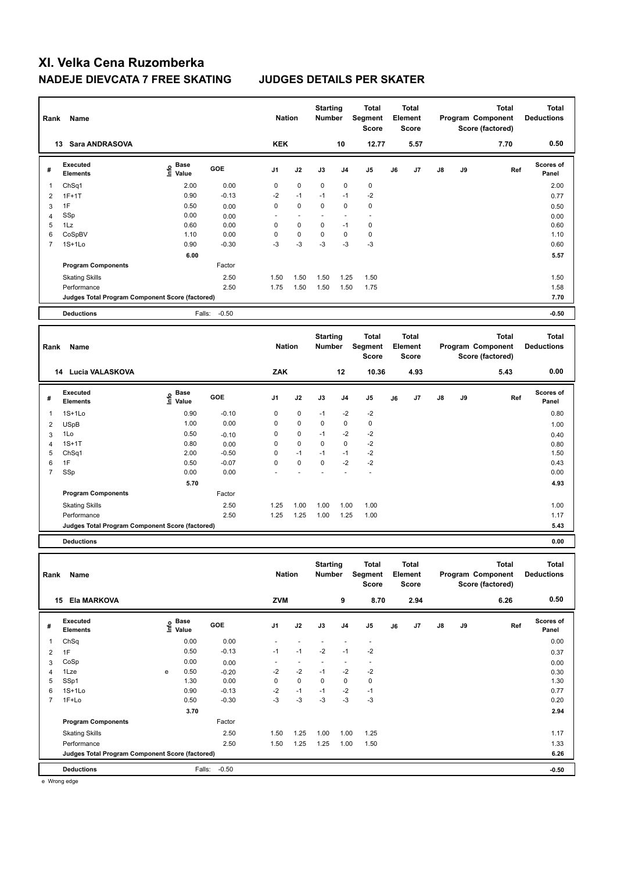| Rank                | Name                                            |                                           |                   | <b>Nation</b>  |                          | <b>Starting</b><br>Number        |                | Total<br>Segment<br><b>Score</b>        |    | <b>Total</b><br>Element<br><b>Score</b> |    |    | <b>Total</b><br>Program Component<br>Score (factored) | <b>Total</b><br><b>Deductions</b> |
|---------------------|-------------------------------------------------|-------------------------------------------|-------------------|----------------|--------------------------|----------------------------------|----------------|-----------------------------------------|----|-----------------------------------------|----|----|-------------------------------------------------------|-----------------------------------|
|                     | 13 Sara ANDRASOVA                               |                                           |                   | <b>KEK</b>     |                          |                                  | 10             | 12.77                                   |    | 5.57                                    |    |    | 7.70                                                  | 0.50                              |
| #                   | <b>Executed</b><br><b>Elements</b>              | $\frac{e}{E}$ Base<br>$\frac{e}{E}$ Value | GOE               | J <sub>1</sub> | J2                       | J3                               | J <sub>4</sub> | J <sub>5</sub>                          | J6 | J <sub>7</sub>                          | J8 | J9 | Ref                                                   | Scores of<br>Panel                |
| $\mathbf{1}$        | ChSq1                                           | 2.00                                      | 0.00              | $\mathbf 0$    | $\mathbf 0$              | 0                                | $\mathbf 0$    | $\pmb{0}$                               |    |                                         |    |    |                                                       | 2.00                              |
| $\overline{2}$      | $1F+1T$                                         | 0.90                                      | $-0.13$           | $-2$           | $-1$                     | $-1$                             | $-1$           | $-2$                                    |    |                                         |    |    |                                                       | 0.77                              |
| 3                   | 1F                                              | 0.50                                      | 0.00              | $\mathbf 0$    | $\mathbf 0$              | 0                                | $\mathbf 0$    | $\mathbf 0$                             |    |                                         |    |    |                                                       | 0.50                              |
| $\overline{4}$      | SSp                                             | 0.00                                      | 0.00              |                | $\overline{\phantom{a}}$ |                                  | $\overline{a}$ | $\overline{a}$                          |    |                                         |    |    |                                                       | 0.00                              |
| 5                   | 1Lz                                             | 0.60                                      | 0.00              | $\mathbf 0$    | 0                        | 0                                | $-1$           | $\mathbf 0$                             |    |                                         |    |    |                                                       | 0.60                              |
| 6                   | CoSpBV                                          | 1.10                                      | 0.00              | $\mathbf 0$    | 0                        | 0                                | 0              | $\pmb{0}$                               |    |                                         |    |    |                                                       | 1.10                              |
| $\overline{7}$      | $1S+1Lo$                                        | 0.90                                      | $-0.30$           | $-3$           | $-3$                     | $-3$                             | $-3$           | $-3$                                    |    |                                         |    |    |                                                       | 0.60                              |
|                     |                                                 | 6.00                                      |                   |                |                          |                                  |                |                                         |    |                                         |    |    |                                                       | 5.57                              |
|                     | <b>Program Components</b>                       |                                           | Factor            |                |                          |                                  |                |                                         |    |                                         |    |    |                                                       |                                   |
|                     | <b>Skating Skills</b>                           |                                           | 2.50              | 1.50           | 1.50                     | 1.50                             | 1.25           | 1.50                                    |    |                                         |    |    |                                                       | 1.50                              |
|                     | Performance                                     |                                           | 2.50              | 1.75           | 1.50                     | 1.50                             | 1.50           | 1.75                                    |    |                                         |    |    |                                                       | 1.58                              |
|                     | Judges Total Program Component Score (factored) |                                           |                   |                |                          |                                  |                |                                         |    |                                         |    |    |                                                       | 7.70                              |
|                     |                                                 |                                           |                   |                |                          |                                  |                |                                         |    |                                         |    |    |                                                       |                                   |
|                     |                                                 |                                           |                   |                |                          |                                  |                |                                         |    |                                         |    |    |                                                       |                                   |
|                     | <b>Deductions</b>                               |                                           | $-0.50$<br>Falls: |                |                          |                                  |                |                                         |    |                                         |    |    |                                                       | $-0.50$                           |
| Rank                | Name                                            |                                           |                   | <b>Nation</b>  |                          | <b>Starting</b><br><b>Number</b> |                | <b>Total</b><br>Segment<br><b>Score</b> |    | <b>Total</b><br>Element<br>Score        |    |    | <b>Total</b><br>Program Component<br>Score (factored) | <b>Total</b><br><b>Deductions</b> |
|                     | 14 Lucia VALASKOVA                              |                                           |                   | ZAK            |                          |                                  | 12             | 10.36                                   |    | 4.93                                    |    |    | 5.43                                                  | 0.00                              |
| #                   | <b>Executed</b><br><b>Elements</b>              | <b>Base</b><br>١nf٥<br>Value              | GOE               | J <sub>1</sub> | J2                       | J3                               | J <sub>4</sub> | J <sub>5</sub>                          | J6 | J7                                      | J8 | J9 | Ref                                                   | Scores of<br>Panel                |
| $\overline{1}$      | $1S+1Lo$                                        | 0.90                                      | $-0.10$           | 0              | 0                        | $-1$                             | $-2$           | $-2$                                    |    |                                         |    |    |                                                       | 0.80                              |
| $\overline{2}$      |                                                 | 1.00                                      | 0.00              | 0              | 0                        | 0                                | $\pmb{0}$      | $\mathbf 0$                             |    |                                         |    |    |                                                       |                                   |
|                     | <b>USpB</b><br>1Lo                              | 0.50                                      |                   | $\mathbf 0$    | $\mathbf 0$              | $-1$                             | $-2$           | $-2$                                    |    |                                         |    |    |                                                       | 1.00                              |
| 3<br>$\overline{4}$ | $1S+1T$                                         | 0.80                                      | $-0.10$<br>0.00   | $\mathbf 0$    | 0                        | 0                                | $\mathbf 0$    | $-2$                                    |    |                                         |    |    |                                                       | 0.40<br>0.80                      |
| 5                   | ChSq1                                           | 2.00                                      | $-0.50$           | $\mathbf 0$    | $-1$                     | $-1$                             | $-1$           | $-2$                                    |    |                                         |    |    |                                                       | 1.50                              |
| 6                   | 1F                                              | 0.50                                      | $-0.07$           | $\Omega$       | $\mathbf{0}$             | $\mathbf 0$                      | $-2$           | $-2$                                    |    |                                         |    |    |                                                       | 0.43                              |
| $\overline{7}$      | SSp                                             | 0.00                                      | 0.00              |                |                          |                                  |                | ä,                                      |    |                                         |    |    |                                                       | 0.00                              |
|                     |                                                 | 5.70                                      |                   |                |                          |                                  |                |                                         |    |                                         |    |    |                                                       | 4.93                              |
|                     | <b>Program Components</b>                       |                                           | Factor            |                |                          |                                  |                |                                         |    |                                         |    |    |                                                       |                                   |
|                     | <b>Skating Skills</b>                           |                                           | 2.50              | 1.25           | 1.00                     | 1.00                             | 1.00           | 1.00                                    |    |                                         |    |    |                                                       | 1.00                              |

**Judges Total Program Component Score (factored) 5.43**

**Deductions 0.00**

| Rank           | Name                                            |   |                             |            | <b>Nation</b>  |             | <b>Starting</b><br><b>Number</b> |                | <b>Total</b><br>Segment<br>Score |    | <b>Total</b><br>Element<br><b>Score</b> |               |    | <b>Total</b><br>Program Component<br>Score (factored) | <b>Total</b><br><b>Deductions</b> |
|----------------|-------------------------------------------------|---|-----------------------------|------------|----------------|-------------|----------------------------------|----------------|----------------------------------|----|-----------------------------------------|---------------|----|-------------------------------------------------------|-----------------------------------|
| 15             | <b>Ela MARKOVA</b>                              |   |                             |            | <b>ZVM</b>     |             |                                  | 9              | 8.70                             |    | 2.94                                    |               |    | 6.26                                                  | 0.50                              |
| #              | Executed<br><b>Elements</b>                     |   | Base<br>$\frac{e}{E}$ Value | <b>GOE</b> | J <sub>1</sub> | J2          | J3                               | J <sub>4</sub> | J <sub>5</sub>                   | J6 | J7                                      | $\mathsf{J}8$ | J9 | Ref                                                   | <b>Scores of</b><br>Panel         |
|                | ChSq                                            |   | 0.00                        | 0.00       |                |             |                                  |                |                                  |    |                                         |               |    |                                                       | 0.00                              |
| 2              | 1F                                              |   | 0.50                        | $-0.13$    | $-1$           | $-1$        | $-2$                             | $-1$           | $-2$                             |    |                                         |               |    |                                                       | 0.37                              |
| 3              | CoSp                                            |   | 0.00                        | 0.00       |                |             |                                  |                | $\overline{\phantom{a}}$         |    |                                         |               |    |                                                       | 0.00                              |
| 4              | 1Lze                                            | e | 0.50                        | $-0.20$    | $-2$           | $-2$        | $-1$                             | $-2$           | $-2$                             |    |                                         |               |    |                                                       | 0.30                              |
| 5              | SSp1                                            |   | 1.30                        | 0.00       | 0              | $\mathbf 0$ | 0                                | $\pmb{0}$      | $\mathbf 0$                      |    |                                         |               |    |                                                       | 1.30                              |
| 6              | $1S+1Lo$                                        |   | 0.90                        | $-0.13$    | $-2$           | $-1$        | $-1$                             | $-2$           | $-1$                             |    |                                         |               |    |                                                       | 0.77                              |
| $\overline{7}$ | 1F+Lo                                           |   | 0.50                        | $-0.30$    | $-3$           | $-3$        | $-3$                             | $-3$           | $-3$                             |    |                                         |               |    |                                                       | 0.20                              |
|                |                                                 |   | 3.70                        |            |                |             |                                  |                |                                  |    |                                         |               |    |                                                       | 2.94                              |
|                | <b>Program Components</b>                       |   |                             | Factor     |                |             |                                  |                |                                  |    |                                         |               |    |                                                       |                                   |
|                | <b>Skating Skills</b>                           |   |                             | 2.50       | 1.50           | 1.25        | 1.00                             | 1.00           | 1.25                             |    |                                         |               |    |                                                       | 1.17                              |
|                | Performance                                     |   |                             | 2.50       | 1.50           | 1.25        | 1.25                             | 1.00           | 1.50                             |    |                                         |               |    |                                                       | 1.33                              |
|                | Judges Total Program Component Score (factored) |   |                             |            |                |             |                                  |                |                                  |    |                                         |               |    |                                                       | 6.26                              |
|                | <b>Deductions</b>                               |   | Falls:                      | $-0.50$    |                |             |                                  |                |                                  |    |                                         |               |    |                                                       | $-0.50$                           |

e Wrong edge